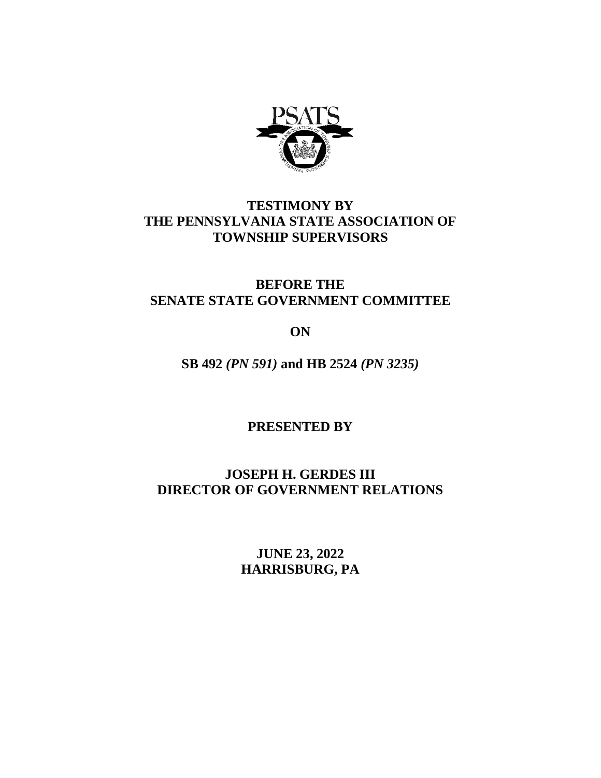

## **TESTIMONY BY THE PENNSYLVANIA STATE ASSOCIATION OF TOWNSHIP SUPERVISORS**

## **BEFORE THE SENATE STATE GOVERNMENT COMMITTEE**

**ON**

**SB 492** *(PN 591)* **and HB 2524** *(PN 3235)*

**PRESENTED BY**

**JOSEPH H. GERDES III DIRECTOR OF GOVERNMENT RELATIONS**

> **JUNE 23, 2022 HARRISBURG, PA**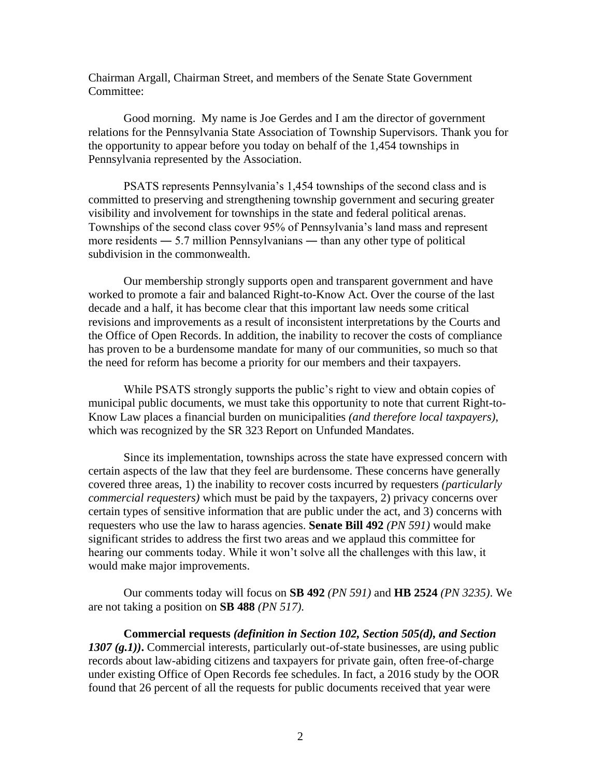Chairman Argall, Chairman Street, and members of the Senate State Government Committee:

Good morning. My name is Joe Gerdes and I am the director of government relations for the Pennsylvania State Association of Township Supervisors. Thank you for the opportunity to appear before you today on behalf of the 1,454 townships in Pennsylvania represented by the Association.

PSATS represents Pennsylvania's 1,454 townships of the second class and is committed to preserving and strengthening township government and securing greater visibility and involvement for townships in the state and federal political arenas. Townships of the second class cover 95% of Pennsylvania's land mass and represent more residents — 5.7 million Pennsylvanians — than any other type of political subdivision in the commonwealth.

Our membership strongly supports open and transparent government and have worked to promote a fair and balanced Right-to-Know Act. Over the course of the last decade and a half, it has become clear that this important law needs some critical revisions and improvements as a result of inconsistent interpretations by the Courts and the Office of Open Records. In addition, the inability to recover the costs of compliance has proven to be a burdensome mandate for many of our communities, so much so that the need for reform has become a priority for our members and their taxpayers.

While PSATS strongly supports the public's right to view and obtain copies of municipal public documents, we must take this opportunity to note that current Right-to-Know Law places a financial burden on municipalities *(and therefore local taxpayers)*, which was recognized by the SR 323 Report on Unfunded Mandates.

Since its implementation, townships across the state have expressed concern with certain aspects of the law that they feel are burdensome. These concerns have generally covered three areas, 1) the inability to recover costs incurred by requesters *(particularly commercial requesters)* which must be paid by the taxpayers, 2) privacy concerns over certain types of sensitive information that are public under the act, and 3) concerns with requesters who use the law to harass agencies. **Senate Bill 492** *(PN 591)* would make significant strides to address the first two areas and we applaud this committee for hearing our comments today. While it won't solve all the challenges with this law, it would make major improvements.

Our comments today will focus on **SB 492** *(PN 591)* and **HB 2524** *(PN 3235)*. We are not taking a position on **SB 488** *(PN 517).*

**Commercial requests** *(definition in Section 102, Section 505(d), and Section 1307 (g.1))***.** Commercial interests, particularly out-of-state businesses, are using public records about law-abiding citizens and taxpayers for private gain, often free-of-charge under existing Office of Open Records fee schedules. In fact, a 2016 study by the OOR found that 26 percent of all the requests for public documents received that year were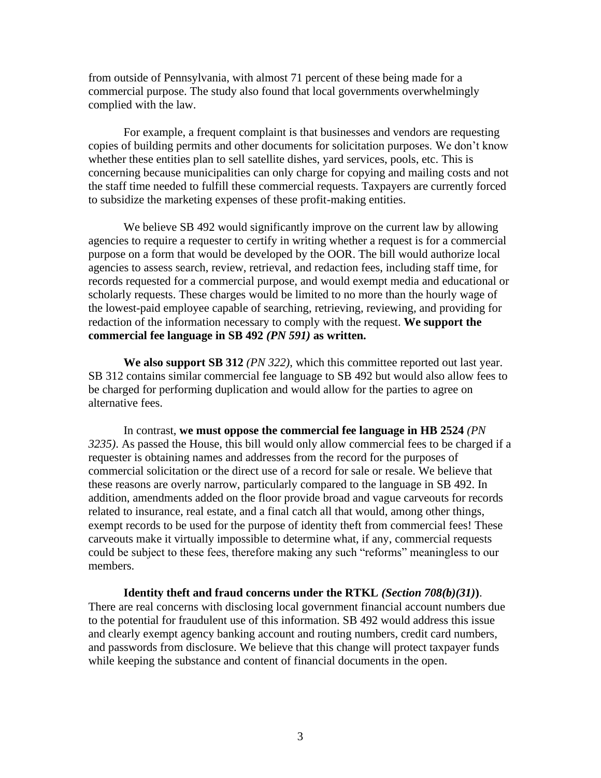from outside of Pennsylvania, with almost 71 percent of these being made for a commercial purpose. The study also found that local governments overwhelmingly complied with the law.

For example, a frequent complaint is that businesses and vendors are requesting copies of building permits and other documents for solicitation purposes. We don't know whether these entities plan to sell satellite dishes, yard services, pools, etc. This is concerning because municipalities can only charge for copying and mailing costs and not the staff time needed to fulfill these commercial requests. Taxpayers are currently forced to subsidize the marketing expenses of these profit-making entities.

We believe SB 492 would significantly improve on the current law by allowing agencies to require a requester to certify in writing whether a request is for a commercial purpose on a form that would be developed by the OOR. The bill would authorize local agencies to assess search, review, retrieval, and redaction fees, including staff time, for records requested for a commercial purpose, and would exempt media and educational or scholarly requests. These charges would be limited to no more than the hourly wage of the lowest-paid employee capable of searching, retrieving, reviewing, and providing for redaction of the information necessary to comply with the request. **We support the commercial fee language in SB 492** *(PN 591)* **as written.** 

**We also support SB 312** *(PN 322)*, which this committee reported out last year. SB 312 contains similar commercial fee language to SB 492 but would also allow fees to be charged for performing duplication and would allow for the parties to agree on alternative fees.

In contrast, **we must oppose the commercial fee language in HB 2524** *(PN 3235)*. As passed the House, this bill would only allow commercial fees to be charged if a requester is obtaining names and addresses from the record for the purposes of commercial solicitation or the direct use of a record for sale or resale. We believe that these reasons are overly narrow, particularly compared to the language in SB 492. In addition, amendments added on the floor provide broad and vague carveouts for records related to insurance, real estate, and a final catch all that would, among other things, exempt records to be used for the purpose of identity theft from commercial fees! These carveouts make it virtually impossible to determine what, if any, commercial requests could be subject to these fees, therefore making any such "reforms" meaningless to our members.

**Identity theft and fraud concerns under the RTKL** *(Section 708(b)(31)***)**. There are real concerns with disclosing local government financial account numbers due to the potential for fraudulent use of this information. SB 492 would address this issue and clearly exempt agency banking account and routing numbers, credit card numbers, and passwords from disclosure. We believe that this change will protect taxpayer funds while keeping the substance and content of financial documents in the open.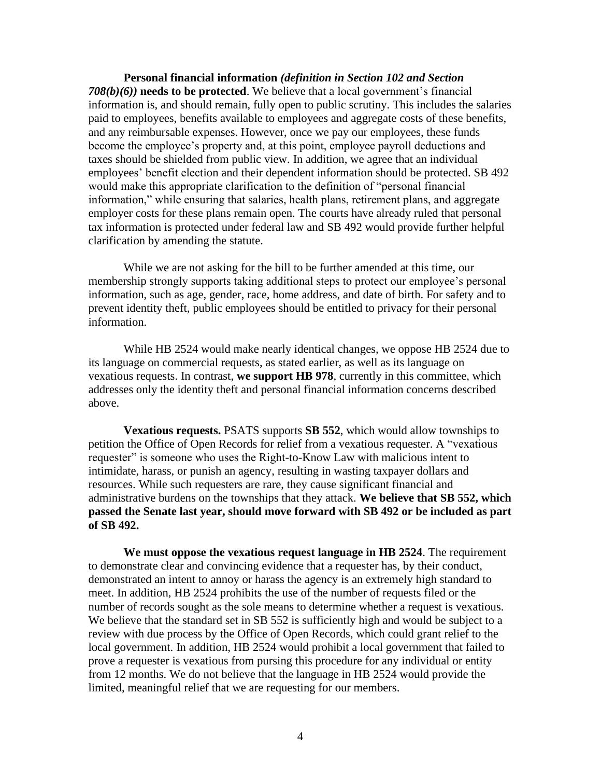**Personal financial information** *(definition in Section 102 and Section 708(b)(6))* **needs to be protected**. We believe that a local government's financial information is, and should remain, fully open to public scrutiny. This includes the salaries paid to employees, benefits available to employees and aggregate costs of these benefits, and any reimbursable expenses. However, once we pay our employees, these funds become the employee's property and, at this point, employee payroll deductions and taxes should be shielded from public view. In addition, we agree that an individual employees' benefit election and their dependent information should be protected. SB 492 would make this appropriate clarification to the definition of "personal financial information," while ensuring that salaries, health plans, retirement plans, and aggregate employer costs for these plans remain open. The courts have already ruled that personal tax information is protected under federal law and SB 492 would provide further helpful clarification by amending the statute.

While we are not asking for the bill to be further amended at this time, our membership strongly supports taking additional steps to protect our employee's personal information, such as age, gender, race, home address, and date of birth. For safety and to prevent identity theft, public employees should be entitled to privacy for their personal information.

While HB 2524 would make nearly identical changes, we oppose HB 2524 due to its language on commercial requests, as stated earlier, as well as its language on vexatious requests. In contrast, **we support HB 978**, currently in this committee, which addresses only the identity theft and personal financial information concerns described above.

**Vexatious requests.** PSATS supports **SB 552**, which would allow townships to petition the Office of Open Records for relief from a vexatious requester. A "vexatious requester" is someone who uses the Right-to-Know Law with malicious intent to intimidate, harass, or punish an agency, resulting in wasting taxpayer dollars and resources. While such requesters are rare, they cause significant financial and administrative burdens on the townships that they attack. **We believe that SB 552, which passed the Senate last year, should move forward with SB 492 or be included as part of SB 492.** 

**We must oppose the vexatious request language in HB 2524**. The requirement to demonstrate clear and convincing evidence that a requester has, by their conduct, demonstrated an intent to annoy or harass the agency is an extremely high standard to meet. In addition, HB 2524 prohibits the use of the number of requests filed or the number of records sought as the sole means to determine whether a request is vexatious. We believe that the standard set in SB 552 is sufficiently high and would be subject to a review with due process by the Office of Open Records, which could grant relief to the local government. In addition, HB 2524 would prohibit a local government that failed to prove a requester is vexatious from pursing this procedure for any individual or entity from 12 months. We do not believe that the language in HB 2524 would provide the limited, meaningful relief that we are requesting for our members.